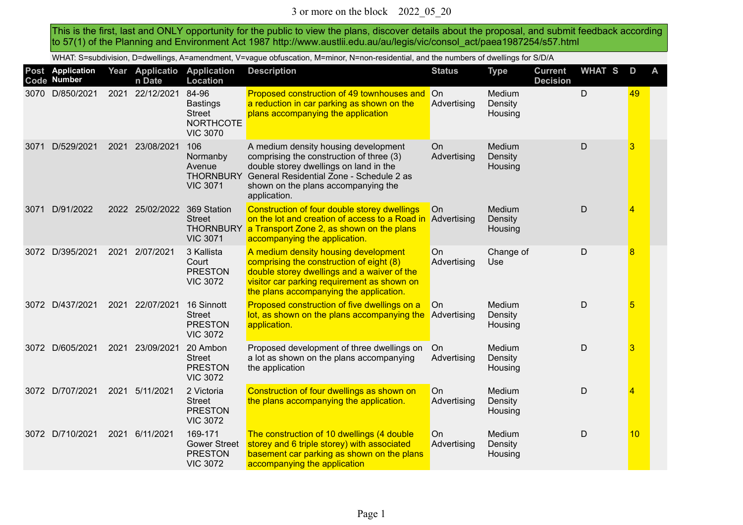This is the first, last and ONLY opportunity for the public to view the plans, discover details about the proposal, and submit feedback according to 57(1) of the Planning and Environment Act 1987 http://www.austlii.edu.au/au/legis/vic/consol\_act/paea1987254/s57.html

WHAT: S=subdivision, D=dwellings, A=amendment, V=vague obfuscation, M=minor, N=non-residential, and the numbers of dwellings for S/D/A

|      | Post Application<br>Code Number |      | Year Applicatio<br>n Date | <b>Application</b><br>Location                                                   | <b>Description</b>                                                                                                                                                                                                            | <b>Status</b>            | <b>Type</b>                  | <b>Current</b><br><b>Decision</b> | <b>WHAT S</b> | D  | A |
|------|---------------------------------|------|---------------------------|----------------------------------------------------------------------------------|-------------------------------------------------------------------------------------------------------------------------------------------------------------------------------------------------------------------------------|--------------------------|------------------------------|-----------------------------------|---------------|----|---|
|      | 3070 D/850/2021                 |      | 2021 22/12/2021           | 84-96<br><b>Bastings</b><br><b>Street</b><br><b>NORTHCOTE</b><br><b>VIC 3070</b> | Proposed construction of 49 townhouses and On<br>a reduction in car parking as shown on the<br>plans accompanying the application                                                                                             | Advertising              | Medium<br>Density<br>Housing |                                   | $\mathsf{D}$  | 49 |   |
| 3071 | D/529/2021                      | 2021 | 23/08/2021                | 106<br>Normanby<br>Avenue<br><b>THORNBURY</b><br><b>VIC 3071</b>                 | A medium density housing development<br>comprising the construction of three (3)<br>double storey dwellings on land in the<br>General Residential Zone - Schedule 2 as<br>shown on the plans accompanying the<br>application. | <b>On</b><br>Advertising | Medium<br>Density<br>Housing |                                   | $\mathsf D$   | 3  |   |
| 3071 | D/91/2022                       | 2022 | 25/02/2022                | 369 Station<br><b>Street</b><br><b>VIC 3071</b>                                  | Construction of four double storey dwellings<br>on the lot and creation of access to a Road in<br>THORNBURY a Transport Zone 2, as shown on the plans<br>accompanying the application.                                        | On<br>Advertising        | Medium<br>Density<br>Housing |                                   | $\mathsf D$   | 4  |   |
| 3072 | D/395/2021                      |      | 2021 2/07/2021            | 3 Kallista<br>Court<br><b>PRESTON</b><br><b>VIC 3072</b>                         | A medium density housing development<br>comprising the construction of eight (8)<br>double storey dwellings and a waiver of the<br>visitor car parking requirement as shown on<br>the plans accompanying the application.     | On<br>Advertising        | Change of<br><b>Use</b>      |                                   | $\mathsf D$   | 8  |   |
| 3072 | D/437/2021                      |      | 2021 22/07/2021           | 16 Sinnott<br><b>Street</b><br><b>PRESTON</b><br><b>VIC 3072</b>                 | Proposed construction of five dwellings on a<br>lot, as shown on the plans accompanying the<br>application.                                                                                                                   | On<br>Advertising        | Medium<br>Density<br>Housing |                                   | $\mathsf D$   | 5  |   |
|      | 3072 D/605/2021                 | 2021 | 23/09/2021                | 20 Ambon<br><b>Street</b><br><b>PRESTON</b><br><b>VIC 3072</b>                   | Proposed development of three dwellings on<br>a lot as shown on the plans accompanying<br>the application                                                                                                                     | On<br>Advertising        | Medium<br>Density<br>Housing |                                   | $\mathsf D$   | 3  |   |
|      | 3072 D/707/2021                 | 2021 | 5/11/2021                 | 2 Victoria<br><b>Street</b><br><b>PRESTON</b><br><b>VIC 3072</b>                 | Construction of four dwellings as shown on<br>the plans accompanying the application.                                                                                                                                         | On<br>Advertising        | Medium<br>Density<br>Housing |                                   | $\mathsf{D}$  | 4  |   |
|      | 3072 D/710/2021                 | 2021 | 6/11/2021                 | 169-171<br><b>Gower Street</b><br><b>PRESTON</b><br><b>VIC 3072</b>              | The construction of 10 dwellings (4 double<br>storey and 6 triple storey) with associated<br>basement car parking as shown on the plans<br>accompanying the application                                                       | On<br>Advertising        | Medium<br>Density<br>Housing |                                   | D             | 10 |   |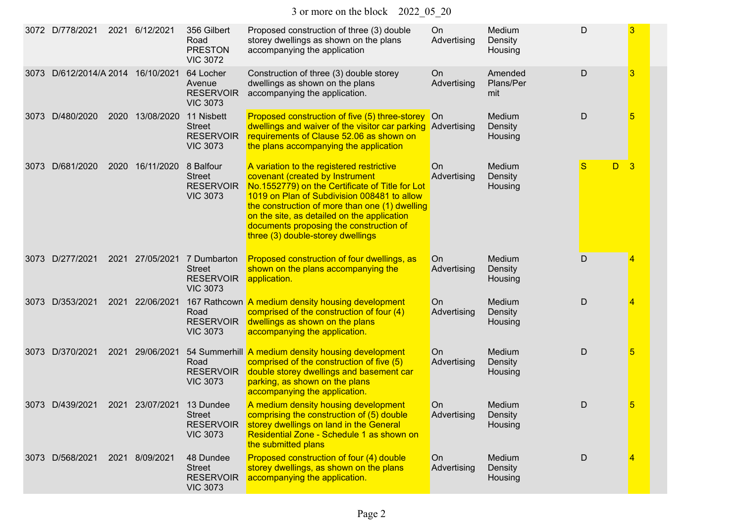| 3072 | D/778/2021                   | 2021 | 6/12/2021      | 356 Gilbert<br>Road<br><b>PRESTON</b><br><b>VIC 3072</b>            | Proposed construction of three (3) double<br>storey dwellings as shown on the plans<br>accompanying the application                                                                                                                                                                                                                                             | On<br>Advertising        | Medium<br>Density<br>Housing | D      | 3                       |
|------|------------------------------|------|----------------|---------------------------------------------------------------------|-----------------------------------------------------------------------------------------------------------------------------------------------------------------------------------------------------------------------------------------------------------------------------------------------------------------------------------------------------------------|--------------------------|------------------------------|--------|-------------------------|
| 3073 | D/612/2014/A 2014 16/10/2021 |      |                | 64 Locher<br>Avenue<br><b>RESERVOIR</b><br><b>VIC 3073</b>          | Construction of three (3) double storey<br>dwellings as shown on the plans<br>accompanying the application.                                                                                                                                                                                                                                                     | On<br>Advertising        | Amended<br>Plans/Per<br>mit  | D      | 3                       |
| 3073 | D/480/2020                   | 2020 | 13/08/2020     | 11 Nisbett<br><b>Street</b><br><b>RESERVOIR</b><br><b>VIC 3073</b>  | Proposed construction of five (5) three-storey On<br>dwellings and waiver of the visitor car parking Advertising<br>requirements of Clause 52.06 as shown on<br>the plans accompanying the application                                                                                                                                                          |                          | Medium<br>Density<br>Housing | D      | 5                       |
| 3073 | D/681/2020                   | 2020 | 16/11/2020     | 8 Balfour<br><b>Street</b><br><b>RESERVOIR</b><br><b>VIC 3073</b>   | A variation to the registered restrictive<br>covenant (created by Instrument<br>No.1552779) on the Certificate of Title for Lot<br>1019 on Plan of Subdivision 008481 to allow<br>the construction of more than one (1) dwelling<br>on the site, as detailed on the application<br>documents proposing the construction of<br>three (3) double-storey dwellings | <b>On</b><br>Advertising | Medium<br>Density<br>Housing | S<br>D | $\overline{\mathbf{3}}$ |
|      | 3073 D/277/2021              | 2021 | 27/05/2021     | 7 Dumbarton<br><b>Street</b><br><b>RESERVOIR</b><br><b>VIC 3073</b> | Proposed construction of four dwellings, as<br>shown on the plans accompanying the<br>application.                                                                                                                                                                                                                                                              | On<br>Advertising        | Medium<br>Density<br>Housing | D      | 4                       |
|      | 3073 D/353/2021              | 2021 | 22/06/2021     | Road<br><b>RESERVOIR</b><br><b>VIC 3073</b>                         | 167 Rathcown A medium density housing development<br>comprised of the construction of four (4)<br>dwellings as shown on the plans<br>accompanying the application.                                                                                                                                                                                              | <b>On</b><br>Advertising | Medium<br>Density<br>Housing | D      | 4                       |
|      | 3073 D/370/2021              | 2021 | 29/06/2021     | Road<br><b>RESERVOIR</b><br><b>VIC 3073</b>                         | 54 Summerhill A medium density housing development<br>comprised of the construction of five (5)<br>double storey dwellings and basement car<br>parking, as shown on the plans<br>accompanying the application.                                                                                                                                                  | <b>On</b><br>Advertising | Medium<br>Density<br>Housing | D      | 5                       |
| 3073 | D/439/2021                   | 2021 | 23/07/2021     | 13 Dundee<br><b>Street</b><br><b>RESERVOIR</b><br><b>VIC 3073</b>   | A medium density housing development<br>comprising the construction of (5) double<br>storey dwellings on land in the General<br>Residential Zone - Schedule 1 as shown on<br>the submitted plans                                                                                                                                                                | On<br>Advertising        | Medium<br>Density<br>Housing | D      | 5                       |
|      | 3073 D/568/2021              |      | 2021 8/09/2021 | 48 Dundee<br><b>Street</b><br><b>RESERVOIR</b><br><b>VIC 3073</b>   | Proposed construction of four (4) double<br>storey dwellings, as shown on the plans<br>accompanying the application.                                                                                                                                                                                                                                            | On<br>Advertising        | Medium<br>Density<br>Housing | D      | 4                       |